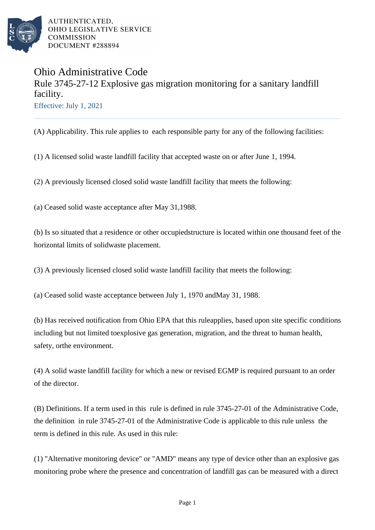

## Ohio Administrative Code Rule 3745-27-12 Explosive gas migration monitoring for a sanitary landfill facility. Effective: July 1, 2021

(A) Applicability. This rule applies to each responsible party for any of the following facilities:

(1) A licensed solid waste landfill facility that accepted waste on or after June 1, 1994.

(2) A previously licensed closed solid waste landfill facility that meets the following:

(a) Ceased solid waste acceptance after May 31, 1988.

(b) Is so situated that a residence or other occupied structure is located within one thousand feet of the horizontal limits of solid waste placement.

(3) A previously licensed closed solid waste landfill facility that meets the following:

(a) Ceased solid waste acceptance between July 1, 1970 and May 31, 1988.

(b) Has received notification from Ohio EPA that this rule applies, based upon site specific conditions including but not limited to explosive gas generation, migration, and the threat to human health, safety, or the environment.

(4) A solid waste landfill facility for which a new or revised EGMP is required pursuant to an order of the director.

(B) Definitions. If a term used in this rule is defined in rule 3745-27-01 of the Administrative Code, the definition in rule 3745-27-01 of the Administrative Code is applicable to this rule unless the term is defined in this rule. As used in this rule:

(1) "Alternative monitoring device" or "AMD" means any type of device other than an explosive gas monitoring probe where the presence and concentration of landfill gas can be measured with a direct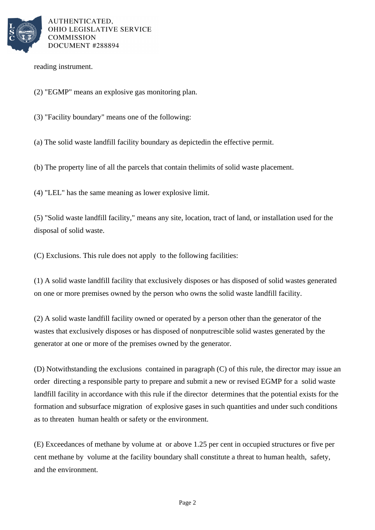

reading instrument.

- (2) "EGMP" means an explosive gas monitoring plan.
- (3) "Facility boundary" means one of the following:

(a) The solid waste landfill facility boundary as depicted in the effective permit.

(b) The property line of all the parcels that contain the limits of solid waste placement.

(4) "LEL" has the same meaning as lower explosive limit.

(5) "Solid waste landfill facility," means any site, location, tract of land, or installation used for the disposal of solid waste.

(C) Exclusions. This rule does not apply to the following facilities:

(1) A solid waste landfill facility that exclusively disposes or has disposed of solid wastes generated on one or more premises owned by the person who owns the solid waste landfill facility.

(2) A solid waste landfill facility owned or operated by a person other than the generator of the wastes that exclusively disposes or has disposed of nonputrescible solid wastes generated by the generator at one or more of the premises owned by the generator.

(D) Notwithstanding the exclusions contained in paragraph (C) of this rule, the director may issue an order directing a responsible party to prepare and submit a new or revised EGMP for a solid waste landfill facility in accordance with this rule if the director determines that the potential exists for the formation and subsurface migration of explosive gases in such quantities and under such conditions as to threaten human health or safety or the environment.

(E) Exceedances of methane by volume at or above 1.25 per cent in occupied structures or five per cent methane by volume at the facility boundary shall constitute a threat to human health, safety, and the environment.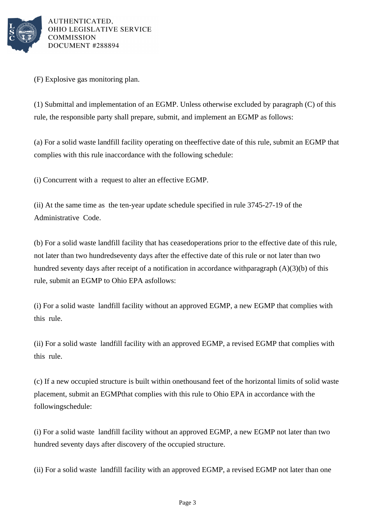

(F) Explosive gas monitoring plan.

(1) Submittal and implementation of an EGMP. Unless otherwise excluded by paragraph  $(C)$  of this rule, the responsible party shall prepare, submit, and implement an EGMP as follows:

(a) For a solid waste landfill facility operating on the effective date of this rule, submit an EGMP that complies with this rule in accordance with the following schedule:

(i) Concurrent with a request to alter an effective EGMP.

(ii) At the same time as the ten-year update schedule specified in rule 3745-27-19 of the Administrative Code.

(b) For a solid waste landfill facility that has ceased operations prior to the effective date of this rule, not later than two hundred seventy days after the effective date of this rule or not later than two hundred seventy days after receipt of a notification in accordance with paragraph  $(A)(3)(b)$  of this rule, submit an EGMP to Ohio EPA as follows:

(i) For a solid waste landfill facility without an approved EGMP, a new EGMP that complies with this rule.

(ii) For a solid waste landfill facility with an approved EGMP, a revised EGMP that complies with this rule.

(c) If a new occupied structure is built within one thousand feet of the horizontal limits of solid waste placement, submit an EGMP that complies with this rule to Ohio EPA in accordance with the following schedule:

(i) For a solid waste landfill facility without an approved EGMP, a new EGMP not later than two hundred seventy days after discovery of the occupied structure.

(ii) For a solid waste landfill facility with an approved EGMP, a revised EGMP not later than one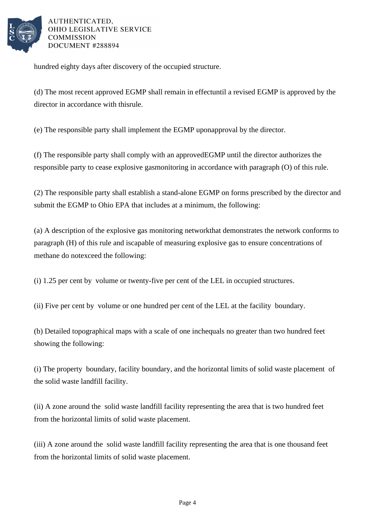

hundred eighty days after discovery of the occupied structure.

(d) The most recent approved EGMP shall remain in effect until a revised EGMP is approved by the director in accordance with this rule.

(e) The responsible party shall implement the EGMP upon approval by the director.

(f) The responsible party shall comply with an approved EGMP until the director authorizes the responsible party to cease explosive gas monitoring in accordance with paragraph (O) of this rule.

(2) The responsible party shall establish a stand-alone EGMP on forms prescribed by the director and submit the EGMP to Ohio EPA that includes at a minimum, the following:

(a) A description of the explosive gas monitoring network that demonstrates the network conforms to paragraph (H) of this rule and is capable of measuring explosive gas to ensure concentrations of methane do not exceed the following:

(i) 1.25 per cent by volume or twenty-five per cent of the LEL in occupied structures.

(ii) Five per cent by volume or one hundred per cent of the LEL at the facility boundary.

(b) Detailed topographical maps with a scale of one inch equals no greater than two hundred feet showing the following:

(i) The property boundary, facility boundary, and the horizontal limits of solid waste placement of the solid waste landfill facility.

(ii) A zone around the solid waste landfill facility representing the area that is two hundred feet from the horizontal limits of solid waste placement.

(iii) A zone around the solid waste landfill facility representing the area that is one thousand feet from the horizontal limits of solid waste placement.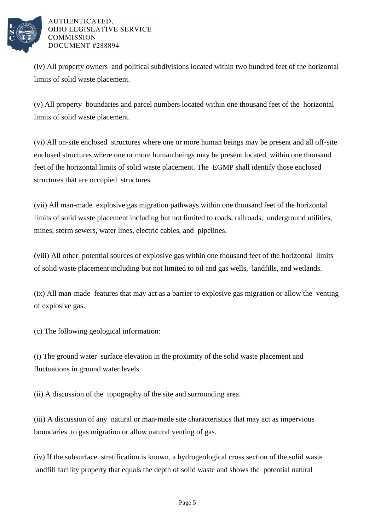

(iv) All property owners and political subdivisions located within two hundred feet of the horizontal limits of solid waste placement.

(v) All property boundaries and parcel numbers located within one thousand feet of the horizontal limits of solid waste placement.

(vi) All on-site enclosed structures where one or more human beings may be present and all off-site enclosed structures where one or more human beings may be present located within one thousand feet of the horizontal limits of solid waste placement. The EGMP shall identify those enclosed structures that are occupied structures.

(vii) All man-made explosive gas migration pathways within one thousand feet of the horizontal limits of solid waste placement including but not limited to roads, railroads, underground utilities, mines, storm sewers, water lines, electric cables, and pipelines.

(viii) All other potential sources of explosive gas within one thousand feet of the horizontal limits of solid waste placement including but not limited to oil and gas wells, landfills, and wetlands.

 $(ix)$  All man-made features that may act as a barrier to explosive gas migration or allow the venting of explosive gas.

(c) The following geological information:

(i) The ground water surface elevation in the proximity of the solid waste placement and fluctuations in ground water levels.

(ii) A discussion of the topography of the site and surrounding area.

(iii) A discussion of any natural or man-made site characteristics that may act as impervious boundaries to gas migration or allow natural venting of gas.

(iv) If the subsurface stratification is known, a hydrogeological cross section of the solid waste landfill facility property that equals the depth of solid waste and shows the potential natural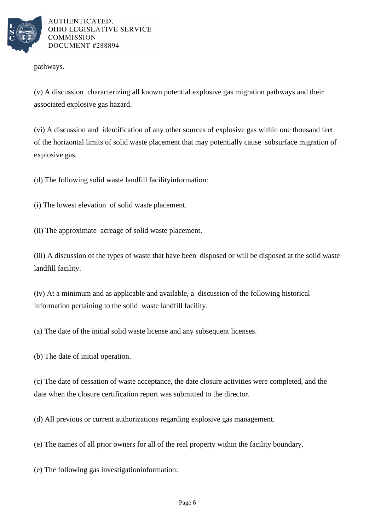

pathways.

(v) A discussion characterizing all known potential explosive gas migration pathways and their associated explosive gas hazard.

(vi) A discussion and identification of any other sources of explosive gas within one thousand feet of the horizontal limits of solid waste placement that may potentially cause subsurface migration of explosive gas.

(d) The following solid waste landfill facility information:

(i) The lowest elevation of solid waste placement.

(ii) The approximate acreage of solid waste placement.

(iii) A discussion of the types of waste that have been disposed or will be disposed at the solid waste landfill facility.

(iv) At a minimum and as applicable and available, a discussion of the following historical information pertaining to the solid waste landfill facility:

(a) The date of the initial solid waste license and any subsequent licenses.

(b) The date of initial operation.

(c) The date of cessation of waste acceptance, the date closure activities were completed, and the date when the closure certification report was submitted to the director.

(d) All previous or current authorizations regarding explosive gas management.

(e) The names of all prior owners for all of the real property within the facility boundary.

(e) The following gas investigation information: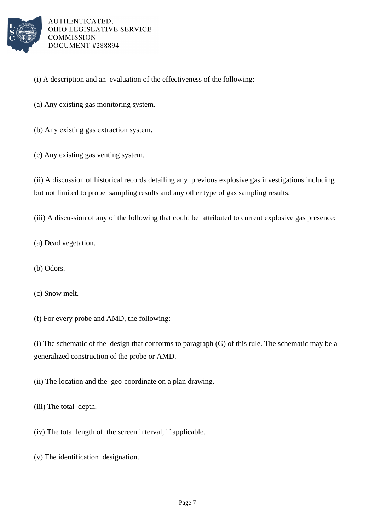

- (i) A description and an evaluation of the effectiveness of the following:
- (a) Any existing gas monitoring system.
- (b) Any existing gas extraction system.
- (c) Any existing gas venting system.

(ii) A discussion of historical records detailing any previous explosive gas investigations including but not limited to probe sampling results and any other type of gas sampling results.

(iii) A discussion of any of the following that could be attributed to current explosive gas presence:

- (a) Dead vegetation.
- (b) Odors.

(c) Snow melt.

(f) For every probe and AMD, the following:

(i) The schematic of the design that conforms to paragraph  $(G)$  of this rule. The schematic may be a generalized construction of the probe or AMD.

(ii) The location and the geo-coordinate on a plan drawing.

(iii) The total depth.

 $(iv)$  The total length of the screen interval, if applicable.

(v) The identification designation.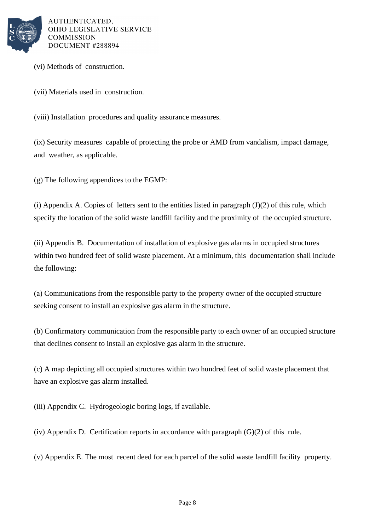

(vi) Methods of construction.

(vii) Materials used in construction.

(viii) Installation procedures and quality assurance measures.

(ix) Security measures capable of protecting the probe or AMD from vandalism, impact damage, and weather, as applicable.

(g) The following appendices to the EGMP:

(i) Appendix A. Copies of letters sent to the entities listed in paragraph  $(J)(2)$  of this rule, which specify the location of the solid waste landfill facility and the proximity of the occupied structure.

(ii) Appendix B. Documentation of installation of explosive gas alarms in occupied structures within two hundred feet of solid waste placement. At a minimum, this documentation shall include the following:

(a) Communications from the responsible party to the property owner of the occupied structure seeking consent to install an explosive gas alarm in the structure.

(b) Confirmatory communication from the responsible party to each owner of an occupied structure that declines consent to install an explosive gas alarm in the structure.

(c) A map depicting all occupied structures within two hundred feet of solid waste placement that have an explosive gas alarm installed.

(iii) Appendix C. Hydrogeologic boring logs, if available.

(iv) Appendix D. Certification reports in accordance with paragraph  $(G)(2)$  of this rule.

(v) Appendix E. The most recent deed for each parcel of the solid waste landfill facility property.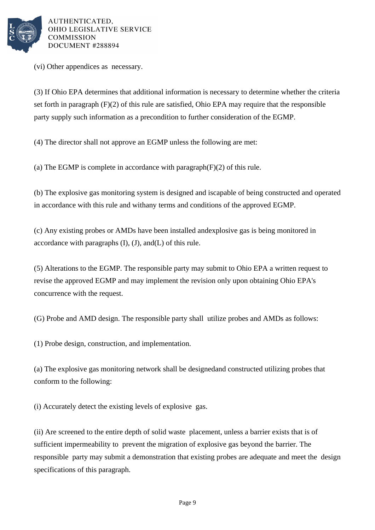

(vi) Other appendices as necessary.

(3) If Ohio EPA determines that additional information is necessary to determine whether the criteria set forth in paragraph  $(F)(2)$  of this rule are satisfied, Ohio EPA may require that the responsible party supply such information as a precondition to further consideration of the EGMP.

(4) The director shall not approve an EGMP unless the following are met:

(a) The EGMP is complete in accordance with paragraph  $(F)(2)$  of this rule.

(b) The explosive gas monitoring system is designed and is capable of being constructed and operated in accordance with this rule and with any terms and conditions of the approved EGMP.

(c) Any existing probes or AMDs have been installed and explosive gas is being monitored in accordance with paragraphs  $(I)$ ,  $(J)$ , and  $(L)$  of this rule.

(5) Alterations to the EGMP. The responsible party may submit to Ohio EPA a written request to revise the approved EGMP and may implement the revision only upon obtaining Ohio EPA's concurrence with the request.

(G) Probe and AMD design. The responsible party shall utilize probes and AMDs as follows:

(1) Probe design, construction, and implementation.

(a) The explosive gas monitoring network shall be designed and constructed utilizing probes that conform to the following:

(i) Accurately detect the existing levels of explosive gas.

(ii) Are screened to the entire depth of solid waste placement, unless a barrier exists that is of sufficient impermeability to prevent the migration of explosive gas beyond the barrier. The responsible party may submit a demonstration that existing probes are adequate and meet the design specifications of this paragraph.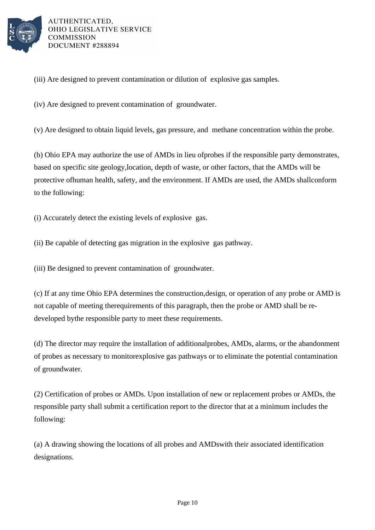

(iii) Are designed to prevent contamination or dilution of explosive gas samples.

(iv) Are designed to prevent contamination of groundwater.

(v) Are designed to obtain liquid levels, gas pressure, and methane concentration within the probe.

(b) Ohio EPA may authorize the use of AMDs in lieu of probes if the responsible party demonstrates, based on specific site geology, location, depth of waste, or other factors, that the AMDs will be protective of human health, safety, and the environment. If AMDs are used, the AMDs shall conform to the following:

(i) Accurately detect the existing levels of explosive gas.

(ii) Be capable of detecting gas migration in the explosive gas pathway.

(iii) Be designed to prevent contamination of groundwater.

(c) If at any time Ohio EPA determines the construction, design, or operation of any probe or AMD is not capable of meeting the requirements of this paragraph, then the probe or AMD shall be redeveloped by the responsible party to meet these requirements.

(d) The director may require the installation of additional probes, AMDs, alarms, or the abandonment of probes as necessary to monitor explosive gas pathways or to eliminate the potential contamination of ground water.

(2) Certification of probes or AMDs. Upon installation of new or replacement probes or AMDs, the responsible party shall submit a certification report to the director that at a minimum includes the following:

(a) A drawing showing the locations of all probes and AMDs with their associated identification designations.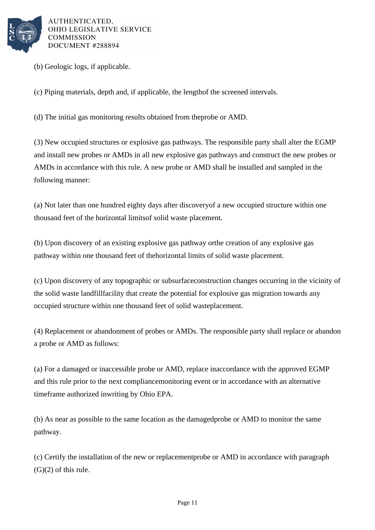

(b) Geologic logs, if applicable.

(c) Piping materials, depth and, if applicable, the length of the screened intervals.

(d) The initial gas monitoring results obtained from the probe or AMD.

(3) New occupied structures or explosive gas pathways. The responsible party shall alter the EGMP and install new probes or AMDs in all new explosive gas pathways and construct the new probes or AMDs in accordance with this rule. A new probe or AMD shall be installed and sampled in the following manner:

(a) Not later than one hundred eighty days after discovery of a new occupied structure within one thousand feet of the horizontal limits of solid waste placement.

(b) Upon discovery of an existing explosive gas pathway or the creation of any explosive gas pathway within one thousand feet of the horizontal limits of solid waste placement.

(c) Upon discovery of any topographic or subsurface construction changes occurring in the vicinity of the solid waste landfill facility that create the potential for explosive gas migration towards any occupied structure within one thousand feet of solid waste placement.

(4) Replacement or abandonment of probes or AMDs. The responsible party shall replace or abandon a probe or AMD as follows:

(a) For a damaged or inaccessible probe or AMD, replace in accordance with the approved EGMP and this rule prior to the next compliance monitoring event or in accordance with an alternative timeframe authorized in writing by Ohio EPA.

(b) As near as possible to the same location as the damaged probe or AMD to monitor the same pathway.

(c) Certify the installation of the new or replacement probe or AMD in accordance with paragraph  $(G)(2)$  of this rule.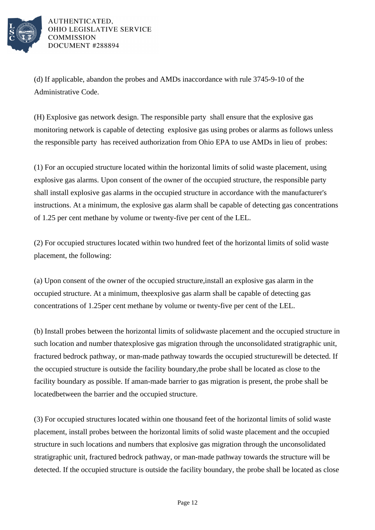

(d) If applicable, abandon the probes and AMDs in accordance with rule 3745-9-10 of the Administrative Code.

(H) Explosive gas network design. The responsible party shall ensure that the explosive gas monitoring network is capable of detecting explosive gas using probes or alarms as follows unless the responsible party has received authorization from Ohio EPA to use AMDs in lieu of probes:

(1) For an occupied structure located within the horizontal limits of solid waste placement, using explosive gas alarms. Upon consent of the owner of the occupied structure, the responsible party shall install explosive gas alarms in the occupied structure in accordance with the manufacturer's instructions. At a minimum, the explosive gas alarm shall be capable of detecting gas concentrations of 1.25 per cent methane by volume or twenty-five per cent of the LEL.

(2) For occupied structures located within two hundred feet of the horizontal limits of solid waste placement, the following:

(a) Upon consent of the owner of the occupied structure, install an explosive gas alarm in the occupied structure. At a minimum, the explosive gas alarm shall be capable of detecting gas concentrations of 1.25 per cent methane by volume or twenty-five per cent of the LEL.

(b) Install probes between the horizontal limits of solid waste placement and the occupied structure in such location and number that explosive gas migration through the unconsolidated stratigraphic unit, fractured bedrock pathway, or man-made pathway towards the occupied structure will be detected. If the occupied structure is outside the facility boundary, the probe shall be located as close to the facility boundary as possible. If a man-made barrier to gas migration is present, the probe shall be located between the barrier and the occupied structure.

(3) For occupied structures located within one thousand feet of the horizontal limits of solid waste placement, install probes between the horizontal limits of solid waste placement and the occupied structure in such locations and numbers that explosive gas migration through the unconsolidated stratigraphic unit, fractured bedrock pathway, or man-made pathway towards the structure will be detected. If the occupied structure is outside the facility boundary, the probe shall be located as close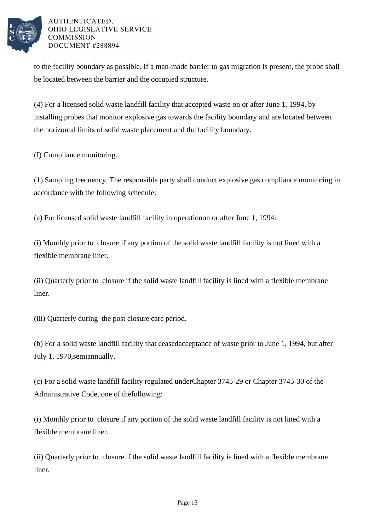

to the facility boundary as possible. If a man-made barrier to gas migration is present, the probe shall be located between the barrier and the occupied structure.

(4) For a licensed solid waste landfill facility that accepted waste on or after June 1, 1994, by installing probes that monitor explosive gas towards the facility boundary and are located between the horizontal limits of solid waste placement and the facility boundary.

(I) Compliance monitoring.

(1) Sampling frequency. The responsible party shall conduct explosive gas compliance monitoring in accordance with the following schedule:

(a) For licensed solid waste landfill facility in operation on or after June 1, 1994:

(i) Monthly prior to closure if any portion of the solid waste landfill facility is not lined with a flexible membrane liner.

(ii) Quarterly prior to closure if the solid waste landfill facility is lined with a flexible membrane liner.

(iii) Quarterly during the post closure care period.

(b) For a solid waste landfill facility that ceased acceptance of waste prior to June 1, 1994, but after July 1, 1970, semiannually.

(c) For a solid waste landfill facility regulated under Chapter 3745-29 or Chapter 3745-30 of the Administrative Code, one of the following:

(i) Monthly prior to closure if any portion of the solid waste landfill facility is not lined with a flexible membrane liner.

(ii) Quarterly prior to closure if the solid waste landfill facility is lined with a flexible membrane liner.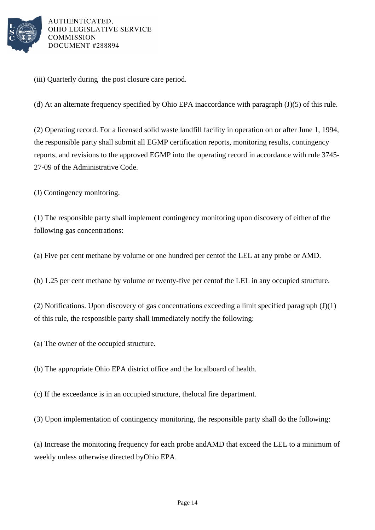

(iii) Quarterly during the post closure care period.

(d) At an alternate frequency specified by Ohio EPA in accordance with paragraph  $(J)(5)$  of this rule.

(2) Operating record. For a licensed solid waste landfill facility in operation on or after June 1, 1994, the responsible party shall submit all EGMP certification reports, monitoring results, contingency reports, and revisions to the approved EGMP into the operating record in accordance with rule 3745-27-09 of the Administrative Code.

(J) Contingency monitoring.

(1) The responsible party shall implement contingency monitoring upon discovery of either of the following gas concentrations:

(a) Five per cent methane by volume or one hundred per cent of the LEL at any probe or AMD.

(b) 1.25 per cent methane by volume or twenty-five per cent of the LEL in any occupied structure.

(2) Notifications. Upon discovery of gas concentrations exceeding a limit specified paragraph  $(J)(1)$ of this rule, the responsible party shall immediately notify the following:

(a) The owner of the occupied structure.

(b) The appropriate Ohio EPA district office and the local board of health.

(c) If the exceedance is in an occupied structure, the local fire department.

(3) Upon implementation of contingency monitoring, the responsible party shall do the following:

(a) Increase the monitoring frequency for each probe and AMD that exceed the LEL to a minimum of weekly unless otherwise directed by Ohio EPA.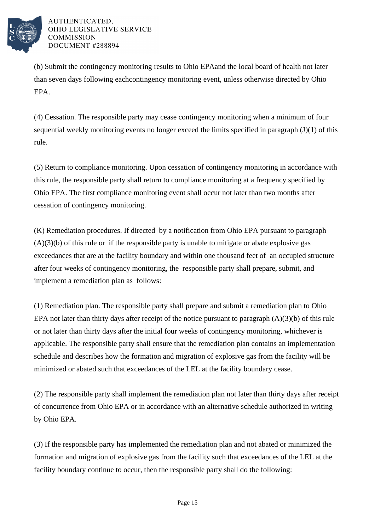

(b) Submit the contingency monitoring results to Ohio EPA and the local board of health not later than seven days following each contingency monitoring event, unless otherwise directed by Ohio EPA.

(4) Cessation. The responsible party may cease contingency monitoring when a minimum of four sequential weekly monitoring events no longer exceed the limits specified in  $\frac{1}{2}$  paragraph (J)(1) of this rule.

(5) Return to compliance monitoring. Upon cessation of contingency monitoring in accordance with this rule, the responsible party shall return to compliance monitoring at a frequency specified by Ohio EPA. The first compliance monitoring event shall occur not later than two months after cessation of contingency monitoring.

(K) Remediation procedures. If directed by a notification from Ohio EPA pursuant to paragraph  $(A)(3)(b)$  of this rule or if the responsible party is unable to mitigate or abate explosive gas exceedances that are at the facility boundary and within one thousand feet of an occupied structure after four weeks of contingency monitoring, the responsible party shall prepare, submit, and implement a remediation plan as follows:

(1) Remediation plan. The responsible party shall prepare and submit a remediation plan to Ohio EPA not later than thirty days after receipt of the notice pursuant to paragraph  $(A)(3)(b)$  of this rule or not later than thirty days after the initial four weeks of contingency monitoring, whichever is applicable. The responsible party shall ensure that the remediation plan contains an implementation schedule and describes how the formation and migration of explosive gas from the facility will be minimized or abated such that exceedances of the LEL at the facility boundary cease.

(2) The responsible party shall implement the remediation plan not later than thirty days after receipt of concurrence from Ohio EPA or in accordance with an alternative schedule authorized in writing by Ohio EPA.

(3) If the responsible party has implemented the remediation plan and not abated or minimized the formation and migration of explosive gas from the facility such that exceedances of the LEL at the facility boundary continue to occur, then the responsible party shall do the following: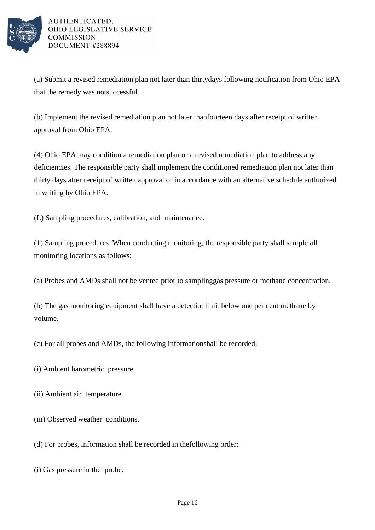

(a) Submit a revised remediation plan not later than thirty days following notification from Ohio EPA that the remedy was not successful.

(b) Implement the revised remediation plan not later than fourteen days after receipt of written approval from Ohio EPA.

(4) Ohio EPA may condition a remediation plan or a revised remediation plan to address any deficiencies. The responsible party shall implement the conditioned remediation plan not later than thirty days after receipt of written approval or in accordance with an alternative schedule authorized in writing by Ohio EPA.

(L) Sampling procedures, calibration, and maintenance.

(1) Sampling procedures. When conducting monitoring, the responsible party shall sample all monitoring locations as follows:

(a) Probes and AMDs shall not be vented prior to sampling gas pressure or methane concentration.

(b) The gas monitoring equipment shall have a detection limit below one per cent methane by volume.

(c) For all probes and AMDs, the following information shall be recorded:

(i) Ambient barometric pressure.

(ii) Ambient air temperature.

(iii) Observed weather conditions.

(d) For probes, information shall be recorded in the following order:

(i) Gas pressure in the probe.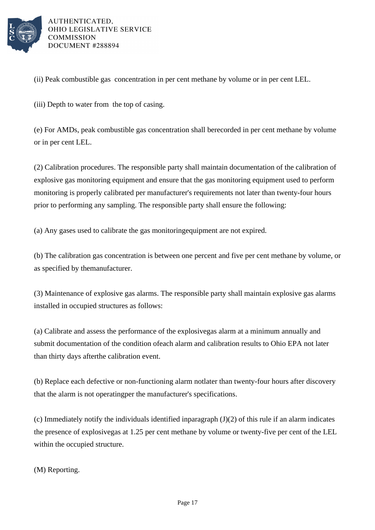

(ii) Peak combustible gas concentration in per cent methane by volume or in per cent LEL.

(iii) Depth to water from the top of casing.

(e) For AMDs, peak combustible gas concentration shall be recorded in per cent methane by volume or in per cent LEL.

(2) Calibration procedures. The responsible party shall maintain documentation of the calibration of explosive gas monitoring equipment and ensure that the gas monitoring equipment used to perform monitoring is properly calibrated per manufacturer's requirements not later than twenty-four hours prior to performing any sampling. The responsible party shall ensure the following:

(a) Any gases used to calibrate the gas monitoring equipment are not expired.

(b) The calibration gas concentration is between one per cent and five per cent methane by volume, or as specified by the manufacturer.

(3) Maintenance of explosive gas alarms. The responsible party shall maintain explosive gas alarms installed in occupied structures as follows:

(a) Calibrate and assess the performance of the explosive gas alarm at a minimum annually and submit documentation of the condition of each alarm and calibration results to Ohio EPA not later than thirty days after the calibration event.

(b) Replace each defective or non-functioning alarm not later than twenty-four hours after discovery that the alarm is not operating per the manufacturer's specifications.

(c) Immediately notify the individuals identified in paragraph  $(J)(2)$  of this rule if an alarm indicates the presence of explosive gas at 1.25 per cent methane by volume or twenty-five per cent of the LEL within the occupied structure.

(M) Reporting.